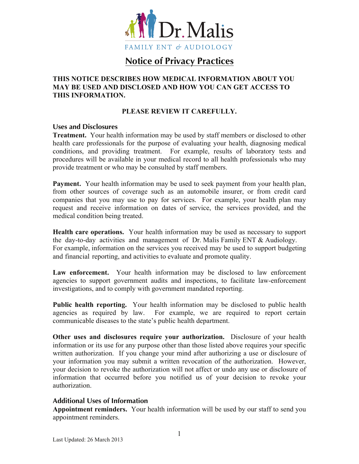

# **Notice of Privacy Practices**

## **THIS NOTICE DESCRIBES HOW MEDICAL INFORMATION ABOUT YOU MAY BE USED AND DISCLOSED AND HOW YOU CAN GET ACCESS TO THIS INFORMATION.**

# **PLEASE REVIEW IT CAREFULLY.**

#### **Uses and Disclosures**

**Treatment.** Your health information may be used by staff members or disclosed to other health care professionals for the purpose of evaluating your health, diagnosing medical conditions, and providing treatment. For example, results of laboratory tests and procedures will be available in your medical record to all health professionals who may provide treatment or who may be consulted by staff members.

**Payment.** Your health information may be used to seek payment from your health plan, from other sources of coverage such as an automobile insurer, or from credit card companies that you may use to pay for services. For example, your health plan may request and receive information on dates of service, the services provided, and the medical condition being treated.

**Health care operations.** Your health information may be used as necessary to support the day-to-day activities and management of Dr. Malis Family ENT & Audiology. For example, information on the services you received may be used to support budgeting and financial reporting, and activities to evaluate and promote quality.

**Law enforcement.** Your health information may be disclosed to law enforcement agencies to support government audits and inspections, to facilitate law-enforcement investigations, and to comply with government mandated reporting.

**Public health reporting.** Your health information may be disclosed to public health agencies as required by law. For example, we are required to report certain communicable diseases to the state's public health department.

**Other uses and disclosures require your authorization.** Disclosure of your health information or its use for any purpose other than those listed above requires your specific written authorization. If you change your mind after authorizing a use or disclosure of your information you may submit a written revocation of the authorization. However, your decision to revoke the authorization will not affect or undo any use or disclosure of information that occurred before you notified us of your decision to revoke your authorization.

## **Additional Uses of Information**

**Appointment reminders.** Your health information will be used by our staff to send you appointment reminders.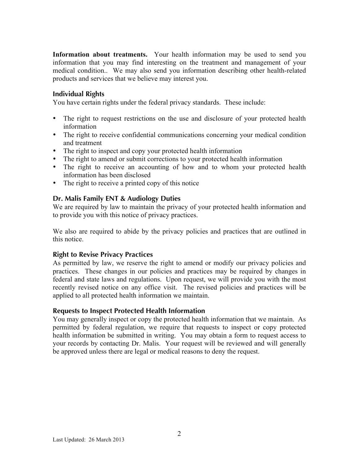**Information about treatments.** Your health information may be used to send you information that you may find interesting on the treatment and management of your medical condition.. We may also send you information describing other health-related products and services that we believe may interest you.

## **Individual Rights**

You have certain rights under the federal privacy standards. These include:

- The right to request restrictions on the use and disclosure of your protected health information
- The right to receive confidential communications concerning your medical condition and treatment
- The right to inspect and copy your protected health information
- The right to amend or submit corrections to your protected health information
- The right to receive an accounting of how and to whom your protected health information has been disclosed
- The right to receive a printed copy of this notice

# **Dr. Malis Family ENT & Audiology Duties**

We are required by law to maintain the privacy of your protected health information and to provide you with this notice of privacy practices.

We also are required to abide by the privacy policies and practices that are outlined in this notice.

## **Right to Revise Privacy Practices**

As permitted by law, we reserve the right to amend or modify our privacy policies and practices. These changes in our policies and practices may be required by changes in federal and state laws and regulations. Upon request, we will provide you with the most recently revised notice on any office visit. The revised policies and practices will be applied to all protected health information we maintain.

## **Requests to Inspect Protected Health Information**

You may generally inspect or copy the protected health information that we maintain. As permitted by federal regulation, we require that requests to inspect or copy protected health information be submitted in writing. You may obtain a form to request access to your records by contacting Dr. Malis. Your request will be reviewed and will generally be approved unless there are legal or medical reasons to deny the request.